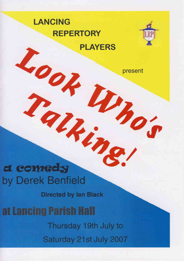# **LANCING REPERTORY PLAYERS**



present

d comedy by Derek Benfield

a

**Directed by Ian Black** 

Wind

at Lancing Parish Hall Thursday 19th July to Saturday 21st July 2007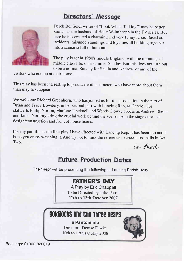# Directors' Message



Derek Benfield, writer of "Look Who's Talkingl" may be better known as the husband of Hetty Wainthropp in the TV series. But here he has created a charming and very funny farce. Based on incidents, misunderstandings and loyalries all building together into a scenario full of humour

The play is set in 1980's middle England. with the trappings of middle class life, on a summer Sunday,. But this does not turn out to be a normal Sunday for Sheila and Andrew, or any of the

visitors who end up at their home.

This play has been interesting to produce with characters who have more about them than may first appear.

We welcome Richard Greenhorn, who has joined us for this production in the part of Brian and Tracy Bowdery, in her second part with Lancing Rep, as Carole, Our stalwarts Philip Norton, Marlene Tincknell and Wendy Dowse appear as Andrew, Sheila and Jane. Not forgetting the crucial work behind the scenes from the stage crew, set design/construction and front of house teams.

For my part this is the first play I have directed with Lancing Rep. It has been fun and I hope you enjoy watching it. And try not to miss the reference to cheese footballs in Act Two.

Lan Black

## **Future Production Dates**

The "Rep" will be presenting the following at Lancing Parish Hall:-

#### FATHER'S DAY

A Play by Eric Chappell To be Directed by Julie Petrie llth to 13th October 2007

# goldilocks and the Three Bears

a Pantomime Director - Denise Fawke 10th to 12th January  $2008$ 



Bookings: 01903 820019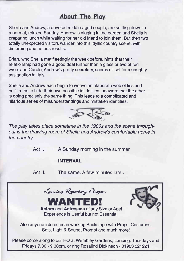### About The Play

Sheila and Andrew, a devoted middle-aged couple, are settling down to a normal, relaxed Sunday. Andrew is digging in the garden and Sheila is preparing lunch while waiting for her old friend to join them. But then two totally unexpected visitors wander into this idyllic country scene, with disturbing and riotous results.

Brian, who Sheila met fleetingly the week before, hints that their relationship had gone a good deal further than a glass or two of red wine: and Carole, Andrew's pretty secretary, seems all set for a naughty assignation in Italy.

Sheila and Andrew each begin to weave an elaborate web of lies and half-truths to hide their own possible infidelities, unaware that the other is doing precisely the same thing. This leads to a complicated and hilarious series of misunderstandings and mistaken identities.



The play takes place sometime in the 1980s and the scene throughout is the drawing room of Sheila and Andrew's comfortable home in the country.

Act I. A Sunday morning in the summer

#### INTERVAL

Act ll. The same. A few minutes later.

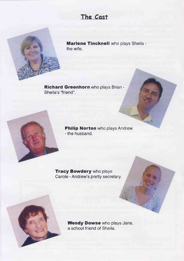### The Cost

Marlene Tincknell who plays Sheila the wife.

Richard Greenhorn who plays Brian -Sheila's "friend".

> Philip Norton who plays Andrew - the husband.

**Tracy Bowdery** who plays Carole - Andrew's pretty secretary.

> Wendy Dowse who plays Jane, a school friend of Sheila.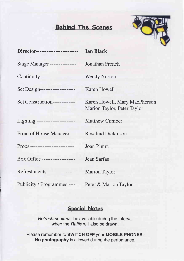# Behind The Scenes



| Director------------------------- | <b>Ian Black</b>                                             |
|-----------------------------------|--------------------------------------------------------------|
| Stage Manager ----------------    | Jonathan French                                              |
| Continuity ---------------------  | <b>Wendy Norton</b>                                          |
| Set Design---------------------   | <b>Karen Howell</b>                                          |
| Set Construction-------------     | Karen Howell, Mary MacPherson<br>Marion Taylor, Peter Taylor |
| Lighting -----------------------  | <b>Matthew Cumber</b>                                        |
| Front of House Manager ---        | <b>Rosalind Dickinson</b>                                    |
| Props --------------------------  | Joan Pimm                                                    |
| Box Office -------------------    | Jean Sarfas                                                  |
| Refreshments------------------    | Marion Taylor                                                |
| Publicity / Programmes ----       | Peter & Marion Taylor                                        |

### Speciol Notes

Refreshmenfs will be available during the Interval when the Raffle will also be drawn.

Please remember to SWITCH OFF your MOBILE PHONES. No photography is allowed during the perfomance.